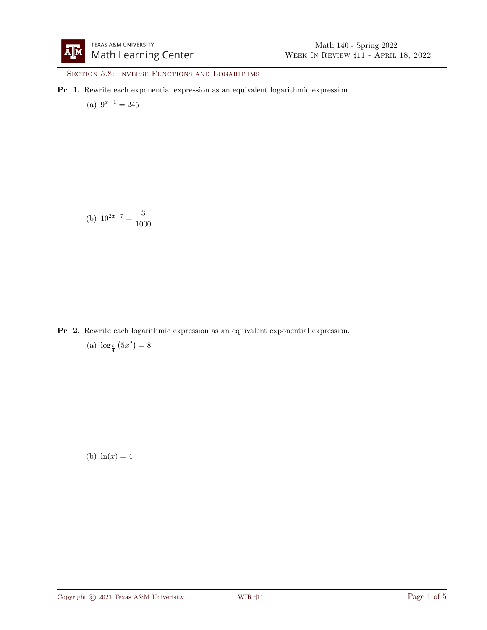SECTION 5.8: INVERSE FUNCTIONS AND LOGARITHMS

Pr 1. Rewrite each exponential expression as an equivalent logarithmic expression.

(a)  $9^{x-1} = 245$ 

(b) 
$$
10^{2x-7} = \frac{3}{1000}
$$

Pr 2. Rewrite each logarithmic expression as an equivalent exponential expression.

(a)  $\log_{\frac{5}{4}}(5x^2) = 8$ 

(b)  $ln(x) = 4$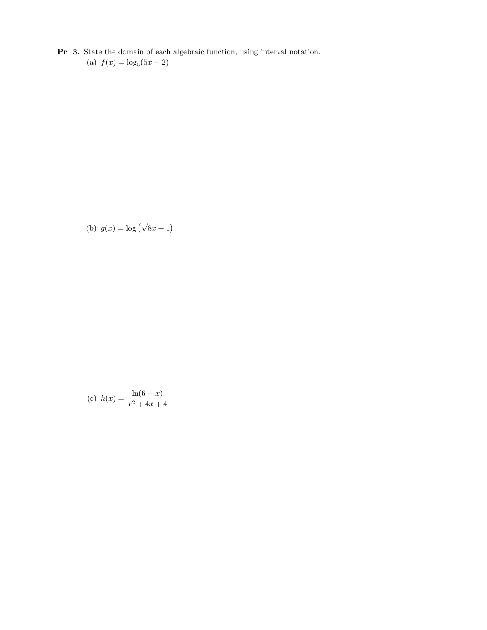Pr 3. State the domain of each algebraic function, using interval notation. (a)  $f(x) = \log_5(5x - 2)$ 

(b) 
$$
g(x) = \log(\sqrt{8x+1})
$$

(c) 
$$
h(x) = \frac{\ln(6-x)}{x^2+4x+4}
$$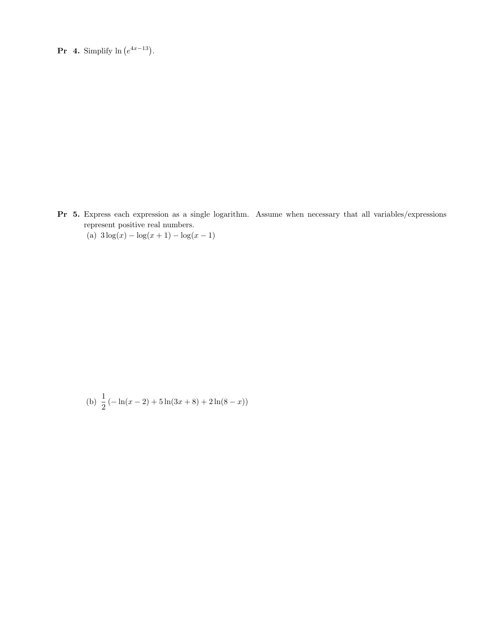**Pr** 4. Simplify  $\ln(e^{4x-13})$ .

Pr 5. Express each expression as a single logarithm. Assume when necessary that all variables/expressions represent positive real numbers.

(a)  $3\log(x) - \log(x+1) - \log(x-1)$ 

(b) 
$$
\frac{1}{2}
$$
 (-ln(x-2) + 5ln(3x + 8) + 2ln(8 - x))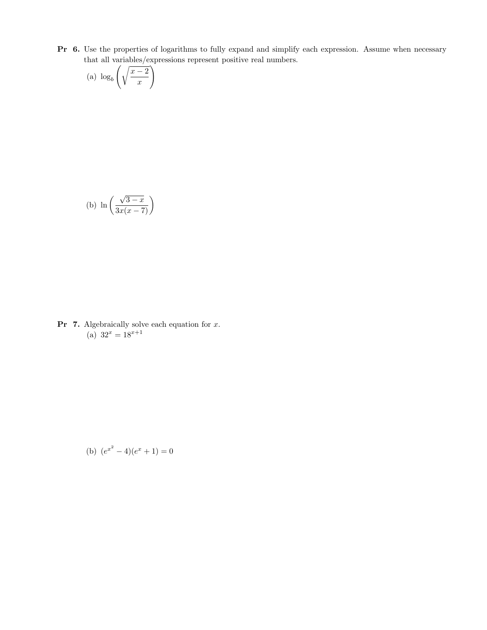Pr 6. Use the properties of logarithms to fully expand and simplify each expression. Assume when necessary that all variables/expressions represent positive real numbers.

(a) 
$$
\log_b \left( \sqrt{\frac{x-2}{x}} \right)
$$

(b) 
$$
\ln\left(\frac{\sqrt{3-x}}{3x(x-7)}\right)
$$

**Pr 7.** Algebraically solve each equation for  $x$ . (a)  $32^x = 18^{x+1}$ 

(b) 
$$
(e^{x^2} - 4)(e^x + 1) = 0
$$